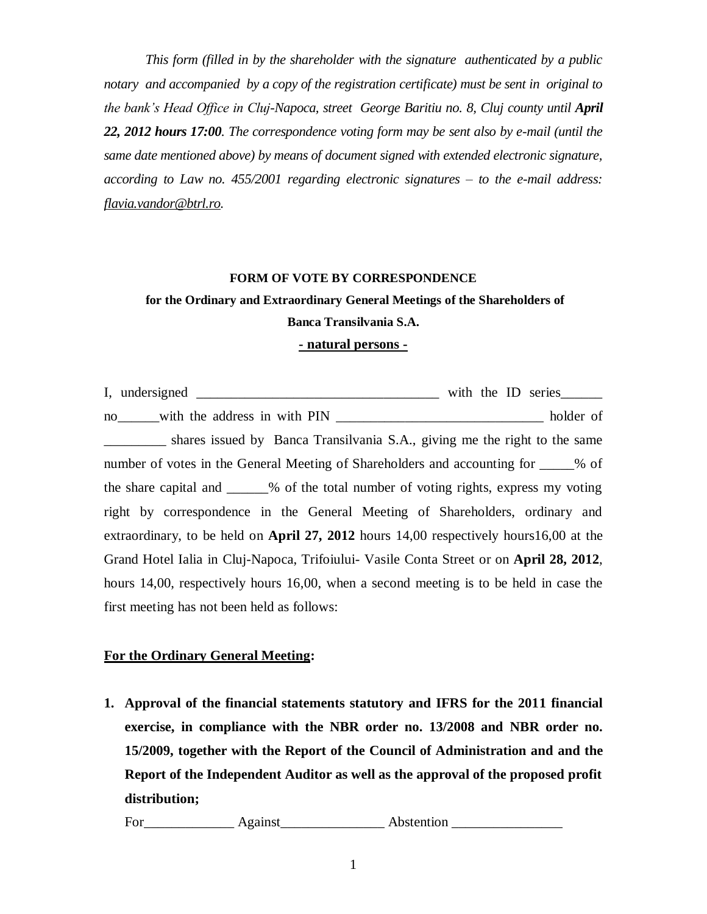*This form (filled in by the shareholder with the signature authenticated by a public notary and accompanied by a copy of the registration certificate) must be sent in original to the bank's Head Office in Cluj-Napoca, street George Baritiu no. 8, Cluj county until April 22, 2012 hours 17:00. The correspondence voting form may be sent also by e-mail (until the same date mentioned above) by means of document signed with extended electronic signature, according to Law no. 455/2001 regarding electronic signatures – to the e-mail address: [flavia.vandor@btrl.ro.](mailto:flavia.vandor@btrl.ro)*

#### **FORM OF VOTE BY CORRESPONDENCE**

# **for the Ordinary and Extraordinary General Meetings of the Shareholders of Banca Transilvania S.A.**

### **- natural persons -**

I, undersigned \_\_\_\_\_\_\_\_\_\_\_\_\_\_\_\_\_\_\_\_\_\_\_\_\_\_\_\_\_\_\_\_\_\_\_ with the ID series\_\_\_\_\_\_ no\_\_\_\_\_with the address in with PIN \_\_\_\_\_\_\_\_\_\_\_\_\_\_\_\_\_\_\_\_\_\_\_\_\_\_\_\_\_\_\_\_\_\_ holder of shares issued by Banca Transilvania S.A., giving me the right to the same number of votes in the General Meeting of Shareholders and accounting for  $\%$  of the share capital and \_\_\_\_\_\_% of the total number of voting rights, express my voting right by correspondence in the General Meeting of Shareholders, ordinary and extraordinary, to be held on **April 27, 2012** hours 14,00 respectively hours16,00 at the Grand Hotel Ialia in Cluj-Napoca, Trifoiului- Vasile Conta Street or on **April 28, 2012**, hours 14,00, respectively hours 16,00, when a second meeting is to be held in case the first meeting has not been held as follows:

## **For the Ordinary General Meeting:**

**1. Approval of the financial statements statutory and IFRS for the 2011 financial exercise, in compliance with the NBR order no. 13/2008 and NBR order no. 15/2009, together with the Report of the Council of Administration and and the Report of the Independent Auditor as well as the approval of the proposed profit distribution;** 

For\_\_\_\_\_\_\_\_\_\_\_\_\_ Against\_\_\_\_\_\_\_\_\_\_\_\_\_\_\_ Abstention \_\_\_\_\_\_\_\_\_\_\_\_\_\_\_\_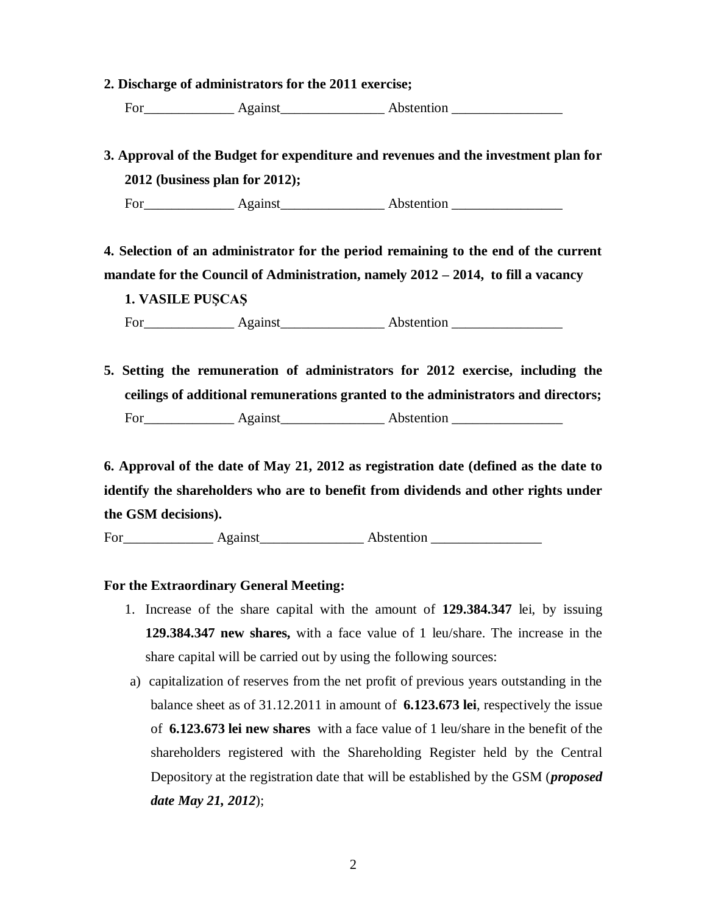### **2. Discharge of administrators for the 2011 exercise;**

For Against Abstention

**3. Approval of the Budget for expenditure and revenues and the investment plan for 2012 (business plan for 2012);** 

For Against Abstention

**4. Selection of an administrator for the period remaining to the end of the current mandate for the Council of Administration, namely 2012 – 2014, to fill a vacancy**

**1. VASILE PUŞCAŞ**

For\_\_\_\_\_\_\_\_\_\_\_\_\_ Against\_\_\_\_\_\_\_\_\_\_\_\_\_\_\_ Abstention \_\_\_\_\_\_\_\_\_\_\_\_\_\_\_\_

**5. Setting the remuneration of administrators for 2012 exercise, including the ceilings of additional remunerations granted to the administrators and directors;**  For Against Astention Abstention

**6. Approval of the date of May 21, 2012 as registration date (defined as the date to identify the shareholders who are to benefit from dividends and other rights under the GSM decisions).** 

For Against Abstention **Abstention** 

## **For the Extraordinary General Meeting:**

- 1. Increase of the share capital with the amount of **129.384.347** lei, by issuing **129.384.347 new shares,** with a face value of 1 leu/share. The increase in the share capital will be carried out by using the following sources:
- a) capitalization of reserves from the net profit of previous years outstanding in the balance sheet as of 31.12.2011 in amount of **6.123.673 lei**, respectively the issue of **6.123.673 lei new shares** with a face value of 1 leu/share in the benefit of the shareholders registered with the Shareholding Register held by the Central Depository at the registration date that will be established by the GSM (*proposed date May 21, 2012*);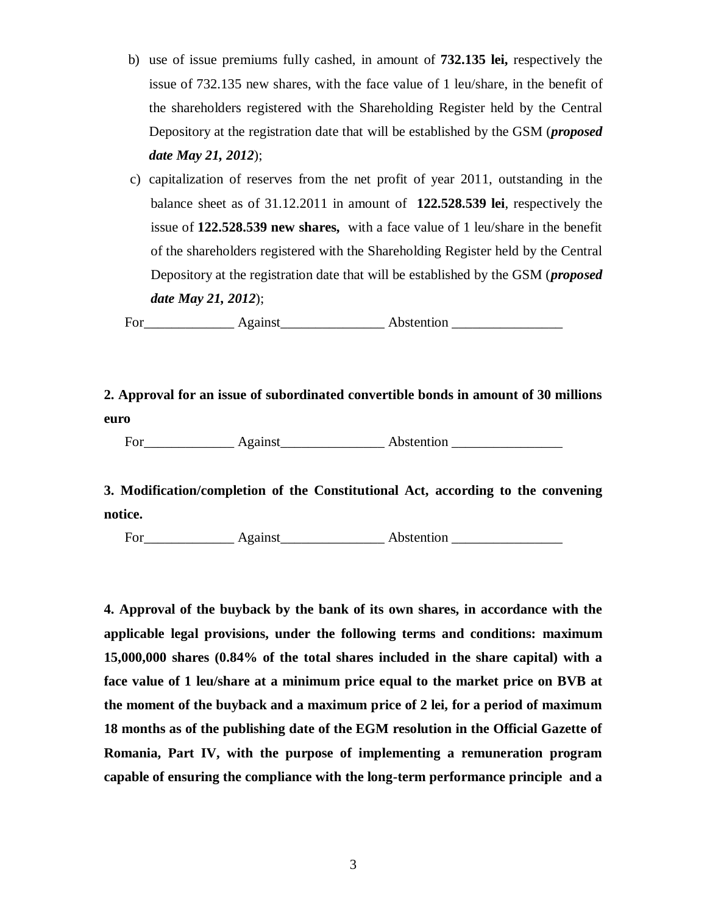- b) use of issue premiums fully cashed, in amount of **732.135 lei,** respectively the issue of 732.135 new shares, with the face value of 1 leu/share, in the benefit of the shareholders registered with the Shareholding Register held by the Central Depository at the registration date that will be established by the GSM (*proposed date May 21, 2012*);
- c) capitalization of reserves from the net profit of year 2011, outstanding in the balance sheet as of 31.12.2011 in amount of **122.528.539 lei**, respectively the issue of **122.528.539 new shares,** with a face value of 1 leu/share in the benefit of the shareholders registered with the Shareholding Register held by the Central Depository at the registration date that will be established by the GSM (*proposed date May 21, 2012*);

For\_\_\_\_\_\_\_\_\_\_\_\_\_ Against\_\_\_\_\_\_\_\_\_\_\_\_\_\_\_ Abstention \_\_\_\_\_\_\_\_\_\_\_\_\_\_\_\_

**2. Approval for an issue of subordinated convertible bonds in amount of 30 millions euro**

For\_\_\_\_\_\_\_\_\_\_\_\_\_ Against\_\_\_\_\_\_\_\_\_\_\_\_\_\_\_ Abstention \_\_\_\_\_\_\_\_\_\_\_\_\_\_\_\_

**3. Modification/completion of the Constitutional Act, according to the convening notice.**

For Against Abstention **Abstention** 

**4. Approval of the buyback by the bank of its own shares, in accordance with the applicable legal provisions, under the following terms and conditions: maximum 15,000,000 shares (0.84% of the total shares included in the share capital) with a face value of 1 leu/share at a minimum price equal to the market price on BVB at the moment of the buyback and a maximum price of 2 lei, for a period of maximum 18 months as of the publishing date of the EGM resolution in the Official Gazette of Romania, Part IV, with the purpose of implementing a remuneration program capable of ensuring the compliance with the long-term performance principle and a**